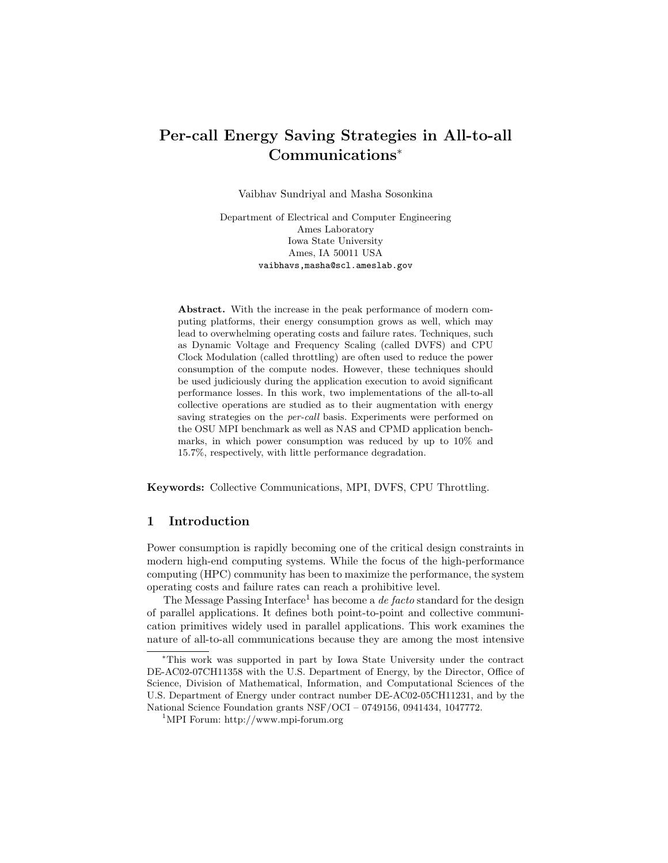# Per-call Energy Saving Strategies in All-to-all Communications<sup>∗</sup>

Vaibhav Sundriyal and Masha Sosonkina

Department of Electrical and Computer Engineering Ames Laboratory Iowa State University Ames, IA 50011 USA vaibhavs,masha@scl.ameslab.gov

Abstract. With the increase in the peak performance of modern computing platforms, their energy consumption grows as well, which may lead to overwhelming operating costs and failure rates. Techniques, such as Dynamic Voltage and Frequency Scaling (called DVFS) and CPU Clock Modulation (called throttling) are often used to reduce the power consumption of the compute nodes. However, these techniques should be used judiciously during the application execution to avoid significant performance losses. In this work, two implementations of the all-to-all collective operations are studied as to their augmentation with energy saving strategies on the *per-call* basis. Experiments were performed on the OSU MPI benchmark as well as NAS and CPMD application benchmarks, in which power consumption was reduced by up to 10% and 15.7%, respectively, with little performance degradation.

Keywords: Collective Communications, MPI, DVFS, CPU Throttling.

## 1 Introduction

Power consumption is rapidly becoming one of the critical design constraints in modern high-end computing systems. While the focus of the high-performance computing (HPC) community has been to maximize the performance, the system operating costs and failure rates can reach a prohibitive level.

The Message Passing Interface<sup>1</sup> has become a *de facto* standard for the design of parallel applications. It defines both point-to-point and collective communication primitives widely used in parallel applications. This work examines the nature of all-to-all communications because they are among the most intensive

<sup>∗</sup>This work was supported in part by Iowa State University under the contract DE-AC02-07CH11358 with the U.S. Department of Energy, by the Director, Office of Science, Division of Mathematical, Information, and Computational Sciences of the U.S. Department of Energy under contract number DE-AC02-05CH11231, and by the National Science Foundation grants NSF/OCI – 0749156, 0941434, 1047772.

<sup>1</sup>MPI Forum: http://www.mpi-forum.org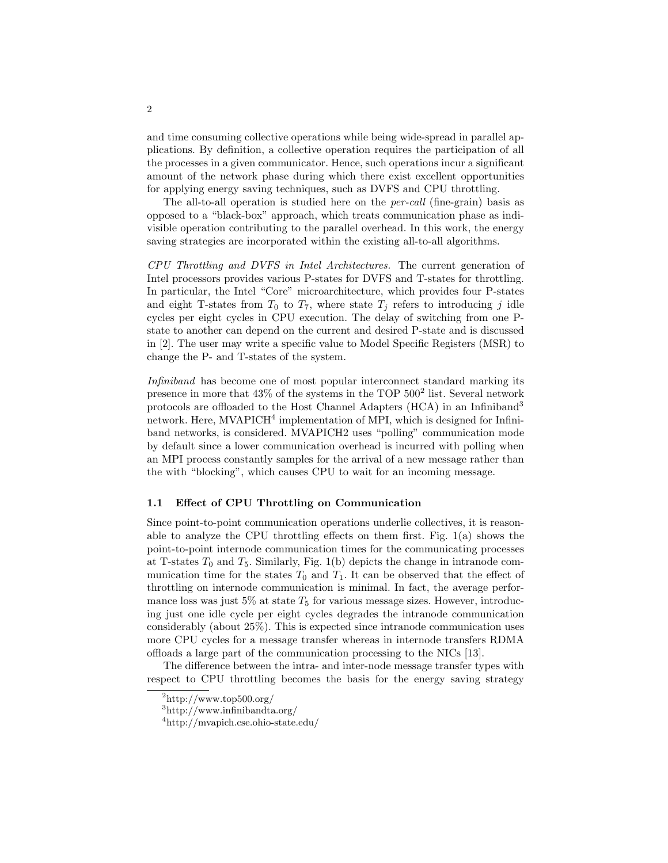and time consuming collective operations while being wide-spread in parallel applications. By definition, a collective operation requires the participation of all the processes in a given communicator. Hence, such operations incur a significant amount of the network phase during which there exist excellent opportunities for applying energy saving techniques, such as DVFS and CPU throttling.

The all-to-all operation is studied here on the per-call (fine-grain) basis as opposed to a "black-box" approach, which treats communication phase as indivisible operation contributing to the parallel overhead. In this work, the energy saving strategies are incorporated within the existing all-to-all algorithms.

CPU Throttling and DVFS in Intel Architectures. The current generation of Intel processors provides various P-states for DVFS and T-states for throttling. In particular, the Intel "Core" microarchitecture, which provides four P-states and eight T-states from  $T_0$  to  $T_7$ , where state  $T_j$  refers to introducing j idle cycles per eight cycles in CPU execution. The delay of switching from one Pstate to another can depend on the current and desired P-state and is discussed in [2]. The user may write a specific value to Model Specific Registers (MSR) to change the P- and T-states of the system.

Infiniband has become one of most popular interconnect standard marking its presence in more that  $43\%$  of the systems in the TOP  $500^2$  list. Several network protocols are offloaded to the Host Channel Adapters (HCA) in an Infiniband<sup>3</sup> network. Here, MVAPICH<sup>4</sup> implementation of MPI, which is designed for Infiniband networks, is considered. MVAPICH2 uses "polling" communication mode by default since a lower communication overhead is incurred with polling when an MPI process constantly samples for the arrival of a new message rather than the with "blocking", which causes CPU to wait for an incoming message.

#### 1.1 Effect of CPU Throttling on Communication

Since point-to-point communication operations underlie collectives, it is reasonable to analyze the CPU throttling effects on them first. Fig. 1(a) shows the point-to-point internode communication times for the communicating processes at T-states  $T_0$  and  $T_5$ . Similarly, Fig. 1(b) depicts the change in intranode communication time for the states  $T_0$  and  $T_1$ . It can be observed that the effect of throttling on internode communication is minimal. In fact, the average performance loss was just 5% at state  $T_5$  for various message sizes. However, introducing just one idle cycle per eight cycles degrades the intranode communication considerably (about 25%). This is expected since intranode communication uses more CPU cycles for a message transfer whereas in internode transfers RDMA offloads a large part of the communication processing to the NICs [13].

The difference between the intra- and inter-node message transfer types with respect to CPU throttling becomes the basis for the energy saving strategy

 $^{2}$ http://www.top500.org/

<sup>3</sup>http://www.infinibandta.org/

<sup>4</sup>http://mvapich.cse.ohio-state.edu/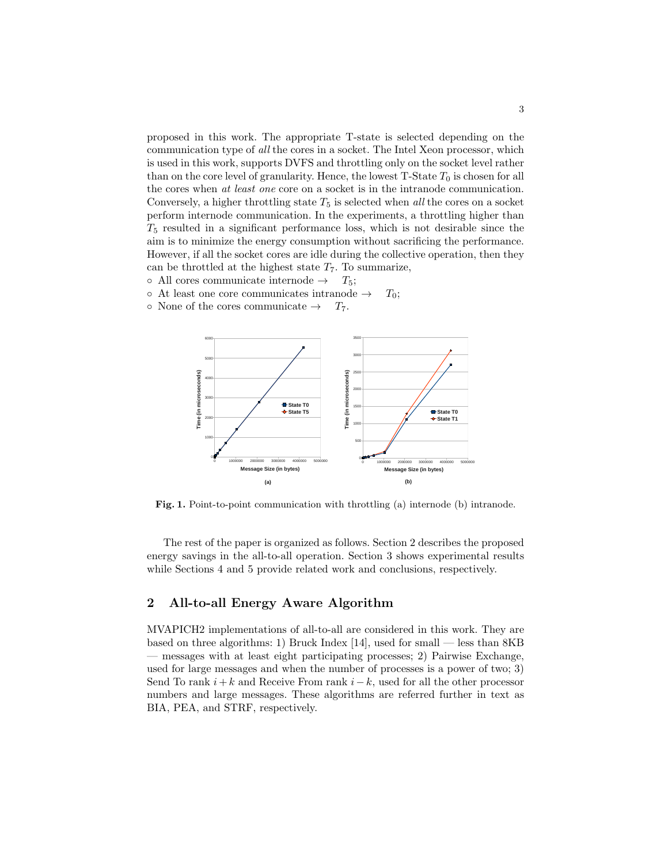proposed in this work. The appropriate T-state is selected depending on the communication type of all the cores in a socket. The Intel Xeon processor, which is used in this work, supports DVFS and throttling only on the socket level rather than on the core level of granularity. Hence, the lowest  $T\text{-State }T_0$  is chosen for all the cores when at least one core on a socket is in the intranode communication. Conversely, a higher throttling state  $T_5$  is selected when all the cores on a socket perform internode communication. In the experiments, a throttling higher than  $T<sub>5</sub>$  resulted in a significant performance loss, which is not desirable since the aim is to minimize the energy consumption without sacrificing the performance. However, if all the socket cores are idle during the collective operation, then they can be throttled at the highest state  $T<sub>7</sub>$ . To summarize,

- $\circ$  All cores communicate internode  $\rightarrow$   $T_5$ ;
- $\circ$  At least one core communicates intranode  $\rightarrow$   $T_0$ ;
- $\circ$  None of the cores communicate  $\rightarrow$   $T_7$ .



Fig. 1. Point-to-point communication with throttling (a) internode (b) intranode.

The rest of the paper is organized as follows. Section 2 describes the proposed energy savings in the all-to-all operation. Section 3 shows experimental results while Sections 4 and 5 provide related work and conclusions, respectively.

## 2 All-to-all Energy Aware Algorithm

MVAPICH2 implementations of all-to-all are considered in this work. They are based on three algorithms: 1) Bruck Index [14], used for small — less than 8KB — messages with at least eight participating processes; 2) Pairwise Exchange, used for large messages and when the number of processes is a power of two; 3) Send To rank  $i+k$  and Receive From rank  $i-k$ , used for all the other processor numbers and large messages. These algorithms are referred further in text as BIA, PEA, and STRF, respectively.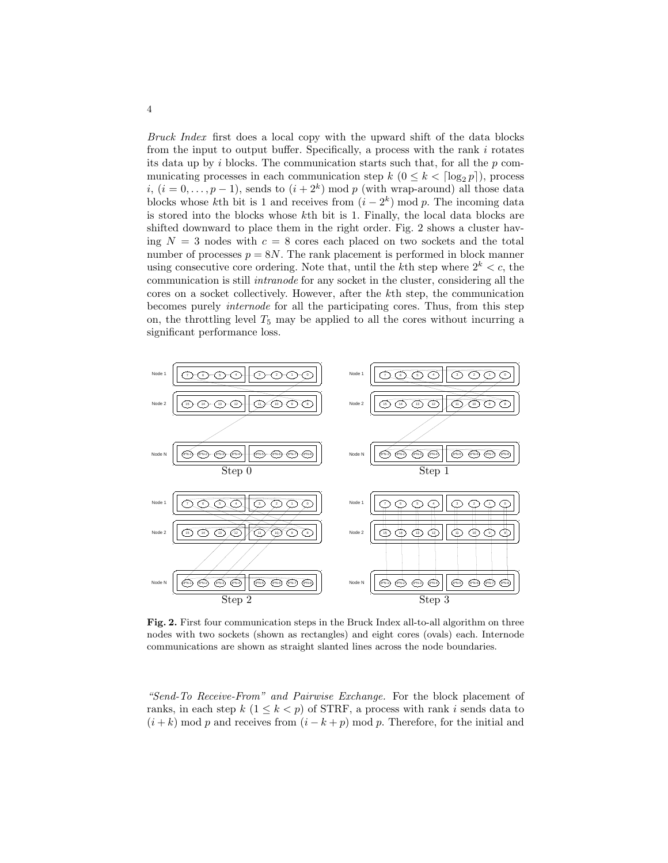Bruck Index first does a local copy with the upward shift of the data blocks from the input to output buffer. Specifically, a process with the rank  $i$  rotates its data up by i blocks. The communication starts such that, for all the  $p$  communicating processes in each communication step  $k$   $(0 \leq k < \lceil \log_2 p \rceil)$ , process i,  $(i = 0, \ldots, p-1)$ , sends to  $(i + 2<sup>k</sup>) \mod p$  (with wrap-around) all those data blocks whose kth bit is 1 and receives from  $(i - 2<sup>k</sup>)$  mod p. The incoming data is stored into the blocks whose kth bit is 1. Finally, the local data blocks are shifted downward to place them in the right order. Fig. 2 shows a cluster having  $N = 3$  nodes with  $c = 8$  cores each placed on two sockets and the total number of processes  $p = 8N$ . The rank placement is performed in block manner using consecutive core ordering. Note that, until the kth step where  $2^k < c$ , the communication is still intranode for any socket in the cluster, considering all the cores on a socket collectively. However, after the kth step, the communication becomes purely internode for all the participating cores. Thus, from this step on, the throttling level  $T_5$  may be applied to all the cores without incurring a significant performance loss.



Fig. 2. First four communication steps in the Bruck Index all-to-all algorithm on three nodes with two sockets (shown as rectangles) and eight cores (ovals) each. Internode communications are shown as straight slanted lines across the node boundaries.

"Send-To Receive-From" and Pairwise Exchange. For the block placement of ranks, in each step  $k$   $(1 \leq k < p)$  of STRF, a process with rank i sends data to  $(i + k)$  mod p and receives from  $(i - k + p)$  mod p. Therefore, for the initial and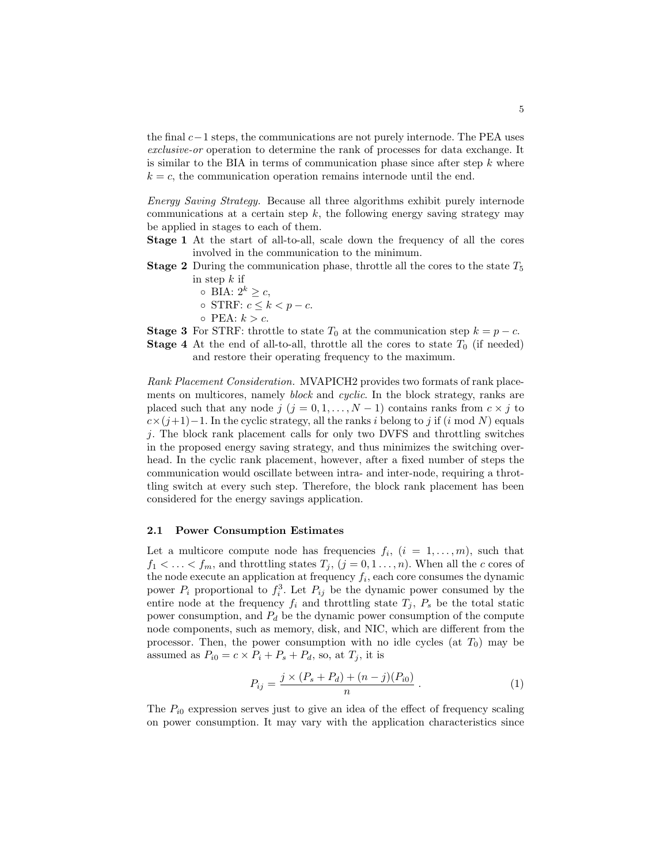the final  $c-1$  steps, the communications are not purely internode. The PEA uses exclusive-or operation to determine the rank of processes for data exchange. It is similar to the BIA in terms of communication phase since after step  $k$  where  $k = c$ , the communication operation remains internode until the end.

Energy Saving Strategy. Because all three algorithms exhibit purely internode communications at a certain step  $k$ , the following energy saving strategy may be applied in stages to each of them.

Stage 1 At the start of all-to-all, scale down the frequency of all the cores involved in the communication to the minimum.

- **Stage 2** During the communication phase, throttle all the cores to the state  $T_5$ in step  $k$  if
	- $\circ$  BIA:  $2^k \geq c$ ,
	- $\circ$  STRF:  $c \leq k < p c$ .
	- $\circ$  PEA:  $k > c$ .

**Stage 3** For STRF: throttle to state  $T_0$  at the communication step  $k = p - c$ . **Stage 4** At the end of all-to-all, throttle all the cores to state  $T_0$  (if needed) and restore their operating frequency to the maximum.

Rank Placement Consideration. MVAPICH2 provides two formats of rank placements on multicores, namely block and cyclic. In the block strategy, ranks are placed such that any node  $j$   $(j = 0, 1, ..., N - 1)$  contains ranks from  $c \times j$  to  $c \times (j+1)-1$ . In the cyclic strategy, all the ranks i belong to j if (i mod N) equals j. The block rank placement calls for only two DVFS and throttling switches in the proposed energy saving strategy, and thus minimizes the switching overhead. In the cyclic rank placement, however, after a fixed number of steps the communication would oscillate between intra- and inter-node, requiring a throttling switch at every such step. Therefore, the block rank placement has been considered for the energy savings application.

#### 2.1 Power Consumption Estimates

Let a multicore compute node has frequencies  $f_i$ ,  $(i = 1, \ldots, m)$ , such that  $f_1 < \ldots < f_m$ , and throttling states  $T_j$ ,  $(j = 0, 1, \ldots, n)$ . When all the c cores of the node execute an application at frequency  $f_i$ , each core consumes the dynamic power  $P_i$  proportional to  $f_i^3$ . Let  $P_{ij}$  be the dynamic power consumed by the entire node at the frequency  $f_i$  and throttling state  $T_j$ ,  $P_s$  be the total static power consumption, and  $P_d$  be the dynamic power consumption of the compute node components, such as memory, disk, and NIC, which are different from the processor. Then, the power consumption with no idle cycles (at  $T_0$ ) may be assumed as  $P_{i0} = c \times P_i + P_s + P_d$ , so, at  $T_j$ , it is

$$
P_{ij} = \frac{j \times (P_s + P_d) + (n - j)(P_{i0})}{n} \,. \tag{1}
$$

The  $P_{i0}$  expression serves just to give an idea of the effect of frequency scaling on power consumption. It may vary with the application characteristics since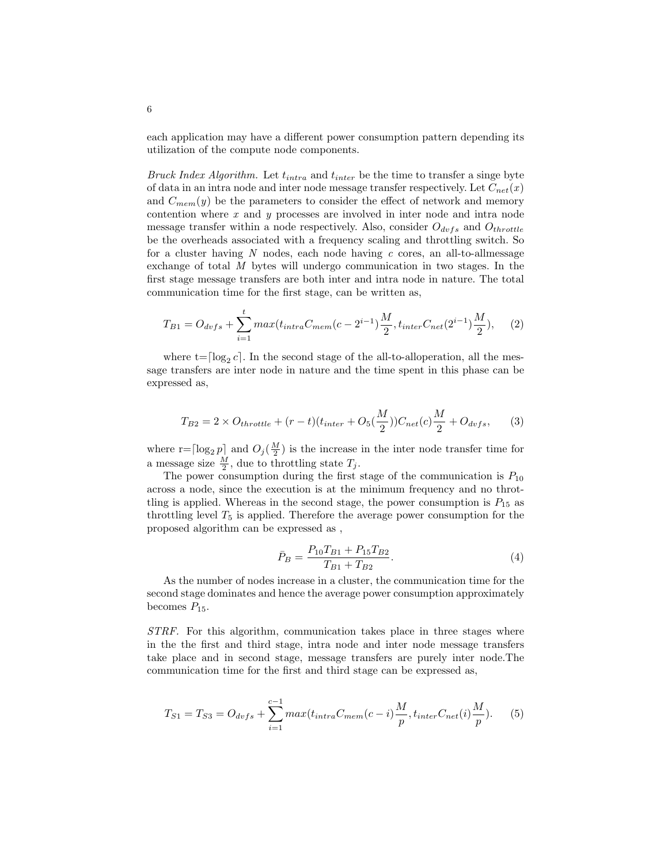each application may have a different power consumption pattern depending its utilization of the compute node components.

Bruck Index Algorithm. Let  $t_{intra}$  and  $t_{inter}$  be the time to transfer a singe byte of data in an intra node and inter node message transfer respectively. Let  $C_{net}(x)$ and  $C_{mem}(y)$  be the parameters to consider the effect of network and memory contention where  $x$  and  $y$  processes are involved in inter node and intra node message transfer within a node respectively. Also, consider  $O_{dvfs}$  and  $O_{throttle}$ be the overheads associated with a frequency scaling and throttling switch. So for a cluster having N nodes, each node having  $c$  cores, an all-to-allmessage exchange of total M bytes will undergo communication in two stages. In the first stage message transfers are both inter and intra node in nature. The total communication time for the first stage, can be written as,

$$
T_{B1} = O_{dvfs} + \sum_{i=1}^{t} max(t_{intra}C_{mem}(c-2^{i-1})\frac{M}{2}, t_{inter}C_{net}(2^{i-1})\frac{M}{2}), \quad (2)
$$

where  $t = \lceil \log_2 c \rceil$ . In the second stage of the all-to-alloperation, all the message transfers are inter node in nature and the time spent in this phase can be expressed as,

$$
T_{B2} = 2 \times O_{throttle} + (r - t)(t_{inter} + O_5(\frac{M}{2}))C_{net}(c)\frac{M}{2} + O_{dvfs},
$$
 (3)

where  $r = \lceil \log_2 p \rceil$  and  $O_j(\frac{M}{2})$  is the increase in the inter node transfer time for a message size  $\frac{M}{2}$ , due to throttling state  $T_j$ .

The power consumption during the first stage of the communication is  $P_{10}$ across a node, since the execution is at the minimum frequency and no throttling is applied. Whereas in the second stage, the power consumption is  $P_{15}$  as throttling level  $T_5$  is applied. Therefore the average power consumption for the proposed algorithm can be expressed as ,

$$
\bar{P}_B = \frac{P_{10}T_{B1} + P_{15}T_{B2}}{T_{B1} + T_{B2}}.\tag{4}
$$

As the number of nodes increase in a cluster, the communication time for the second stage dominates and hence the average power consumption approximately becomes  $P_{15}$ .

STRF. For this algorithm, communication takes place in three stages where in the the first and third stage, intra node and inter node message transfers take place and in second stage, message transfers are purely inter node.The communication time for the first and third stage can be expressed as,

$$
T_{S1} = T_{S3} = O_{dvfs} + \sum_{i=1}^{c-1} max(t_{intra}C_{mem}(c-i) \frac{M}{p}, t_{inter}C_{net}(i) \frac{M}{p}).
$$
 (5)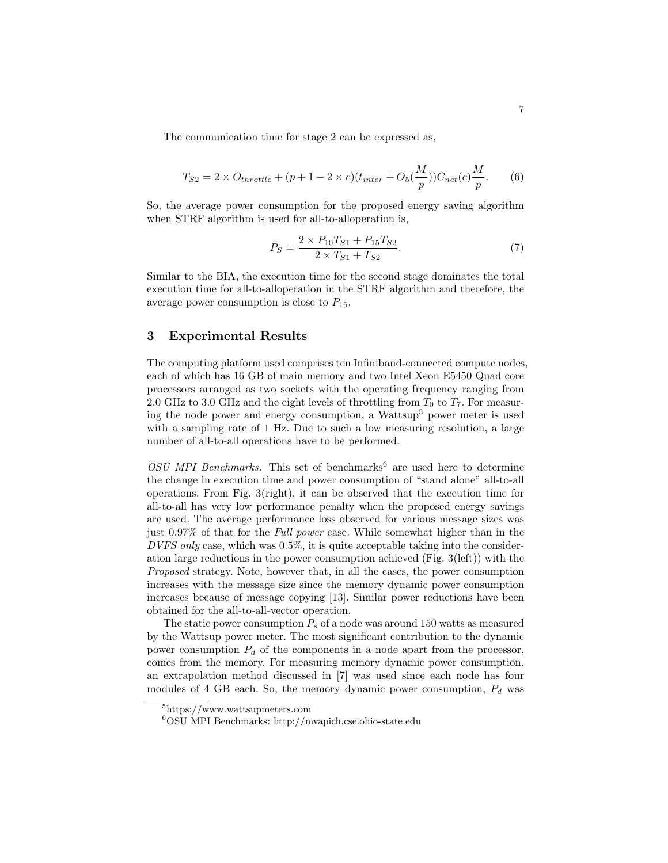The communication time for stage 2 can be expressed as,

$$
T_{S2} = 2 \times O_{throttle} + (p + 1 - 2 \times c)(t_{inter} + O_5(\frac{M}{p}))C_{net}(c)\frac{M}{p}.
$$
 (6)

So, the average power consumption for the proposed energy saving algorithm when STRF algorithm is used for all-to-alloperation is,

$$
\bar{P}_S = \frac{2 \times P_{10} T_{S1} + P_{15} T_{S2}}{2 \times T_{S1} + T_{S2}}.
$$
\n(7)

Similar to the BIA, the execution time for the second stage dominates the total execution time for all-to-alloperation in the STRF algorithm and therefore, the average power consumption is close to  $P_{15}$ .

## 3 Experimental Results

The computing platform used comprises ten Infiniband-connected compute nodes, each of which has 16 GB of main memory and two Intel Xeon E5450 Quad core processors arranged as two sockets with the operating frequency ranging from 2.0 GHz to 3.0 GHz and the eight levels of throttling from  $T_0$  to  $T_7$ . For measuring the node power and energy consumption, a Wattsup<sup>5</sup> power meter is used with a sampling rate of 1 Hz. Due to such a low measuring resolution, a large number of all-to-all operations have to be performed.

OSU MPI Benchmarks. This set of benchmarks<sup>6</sup> are used here to determine the change in execution time and power consumption of "stand alone" all-to-all operations. From Fig. 3(right), it can be observed that the execution time for all-to-all has very low performance penalty when the proposed energy savings are used. The average performance loss observed for various message sizes was just 0.97% of that for the Full power case. While somewhat higher than in the DVFS only case, which was 0.5%, it is quite acceptable taking into the consideration large reductions in the power consumption achieved (Fig. 3(left)) with the Proposed strategy. Note, however that, in all the cases, the power consumption increases with the message size since the memory dynamic power consumption increases because of message copying [13]. Similar power reductions have been obtained for the all-to-all-vector operation.

The static power consumption  $P_s$  of a node was around 150 watts as measured by the Wattsup power meter. The most significant contribution to the dynamic power consumption  $P_d$  of the components in a node apart from the processor, comes from the memory. For measuring memory dynamic power consumption, an extrapolation method discussed in [7] was used since each node has four modules of 4 GB each. So, the memory dynamic power consumption,  $P_d$  was

<sup>&</sup>lt;sup>5</sup>https://www.wattsupmeters.com

<sup>6</sup>OSU MPI Benchmarks: http://mvapich.cse.ohio-state.edu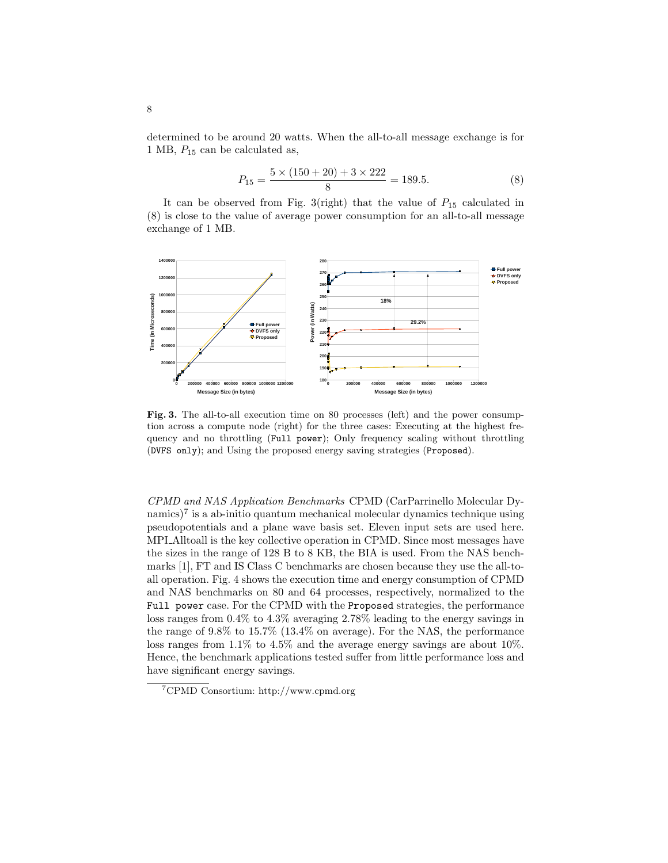determined to be around 20 watts. When the all-to-all message exchange is for 1 MB,  $P_{15}$  can be calculated as,

$$
P_{15} = \frac{5 \times (150 + 20) + 3 \times 222}{8} = 189.5.
$$
 (8)

It can be observed from Fig. 3(right) that the value of  $P_{15}$  calculated in (8) is close to the value of average power consumption for an all-to-all message exchange of 1 MB.



Fig. 3. The all-to-all execution time on 80 processes (left) and the power consumption across a compute node (right) for the three cases: Executing at the highest frequency and no throttling (Full power); Only frequency scaling without throttling (DVFS only); and Using the proposed energy saving strategies (Proposed).

CPMD and NAS Application Benchmarks CPMD (CarParrinello Molecular Dynamics)<sup>7</sup> is a ab-initio quantum mechanical molecular dynamics technique using pseudopotentials and a plane wave basis set. Eleven input sets are used here. MPI Alltoall is the key collective operation in CPMD. Since most messages have the sizes in the range of 128 B to 8 KB, the BIA is used. From the NAS benchmarks [1], FT and IS Class C benchmarks are chosen because they use the all-toall operation. Fig. 4 shows the execution time and energy consumption of CPMD and NAS benchmarks on 80 and 64 processes, respectively, normalized to the Full power case. For the CPMD with the Proposed strategies, the performance loss ranges from 0.4% to 4.3% averaging 2.78% leading to the energy savings in the range of 9.8% to 15.7% (13.4% on average). For the NAS, the performance loss ranges from 1.1% to 4.5% and the average energy savings are about 10%. Hence, the benchmark applications tested suffer from little performance loss and have significant energy savings.

<sup>7</sup>CPMD Consortium: http://www.cpmd.org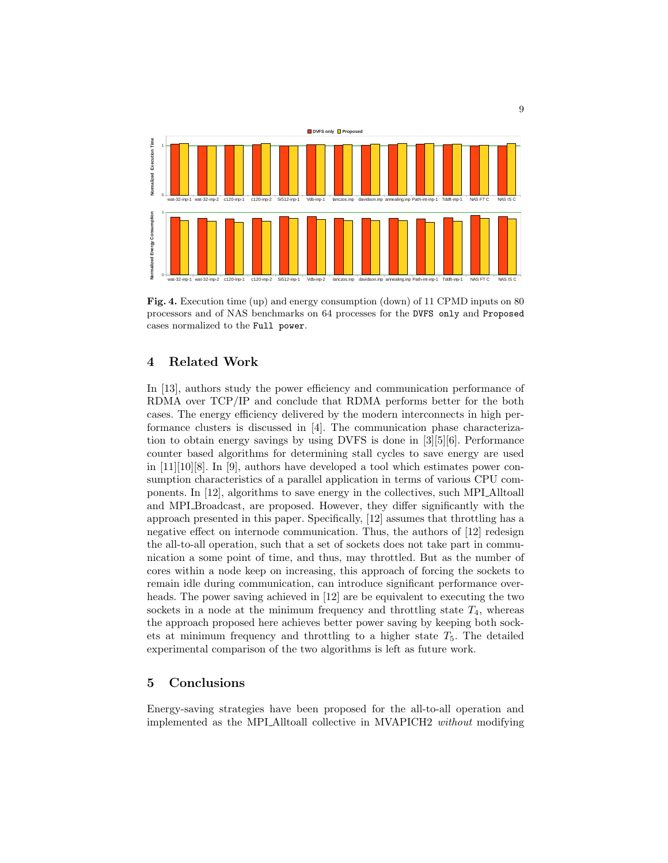

Fig. 4. Execution time (up) and energy consumption (down) of 11 CPMD inputs on 80 processors and of NAS benchmarks on 64 processes for the DVFS only and Proposed cases normalized to the Full power.

## 4 Related Work

In [13], authors study the power efficiency and communication performance of RDMA over TCP/IP and conclude that RDMA performs better for the both cases. The energy efficiency delivered by the modern interconnects in high performance clusters is discussed in [4]. The communication phase characterization to obtain energy savings by using DVFS is done in [3][5][6]. Performance counter based algorithms for determining stall cycles to save energy are used in [11][10][8]. In [9], authors have developed a tool which estimates power consumption characteristics of a parallel application in terms of various CPU components. In [12], algorithms to save energy in the collectives, such MPI Alltoall and MPI Broadcast, are proposed. However, they differ significantly with the approach presented in this paper. Specifically, [12] assumes that throttling has a negative effect on internode communication. Thus, the authors of [12] redesign the all-to-all operation, such that a set of sockets does not take part in communication a some point of time, and thus, may throttled. But as the number of cores within a node keep on increasing, this approach of forcing the sockets to remain idle during communication, can introduce significant performance overheads. The power saving achieved in [12] are be equivalent to executing the two sockets in a node at the minimum frequency and throttling state  $T_4$ , whereas the approach proposed here achieves better power saving by keeping both sockets at minimum frequency and throttling to a higher state  $T_5$ . The detailed experimental comparison of the two algorithms is left as future work.

## 5 Conclusions

Energy-saving strategies have been proposed for the all-to-all operation and implemented as the MPI Alltoall collective in MVAPICH2 without modifying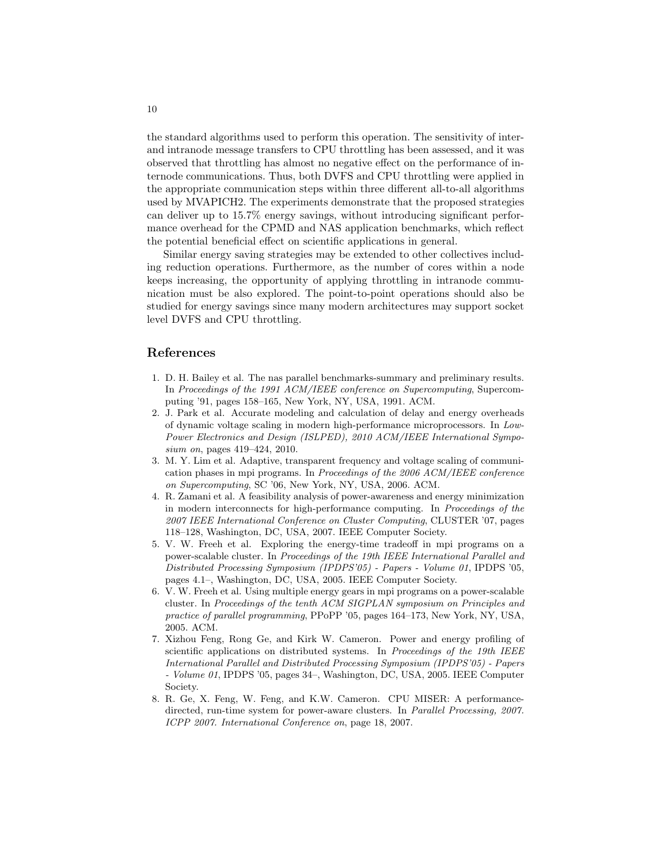the standard algorithms used to perform this operation. The sensitivity of interand intranode message transfers to CPU throttling has been assessed, and it was observed that throttling has almost no negative effect on the performance of internode communications. Thus, both DVFS and CPU throttling were applied in the appropriate communication steps within three different all-to-all algorithms used by MVAPICH2. The experiments demonstrate that the proposed strategies can deliver up to 15.7% energy savings, without introducing significant performance overhead for the CPMD and NAS application benchmarks, which reflect the potential beneficial effect on scientific applications in general.

Similar energy saving strategies may be extended to other collectives including reduction operations. Furthermore, as the number of cores within a node keeps increasing, the opportunity of applying throttling in intranode communication must be also explored. The point-to-point operations should also be studied for energy savings since many modern architectures may support socket level DVFS and CPU throttling.

## References

- 1. D. H. Bailey et al. The nas parallel benchmarks-summary and preliminary results. In Proceedings of the 1991 ACM/IEEE conference on Supercomputing, Supercomputing '91, pages 158–165, New York, NY, USA, 1991. ACM.
- 2. J. Park et al. Accurate modeling and calculation of delay and energy overheads of dynamic voltage scaling in modern high-performance microprocessors. In Low-Power Electronics and Design (ISLPED), 2010 ACM/IEEE International Symposium on, pages 419–424, 2010.
- 3. M. Y. Lim et al. Adaptive, transparent frequency and voltage scaling of communication phases in mpi programs. In Proceedings of the 2006 ACM/IEEE conference on Supercomputing, SC '06, New York, NY, USA, 2006. ACM.
- 4. R. Zamani et al. A feasibility analysis of power-awareness and energy minimization in modern interconnects for high-performance computing. In Proceedings of the 2007 IEEE International Conference on Cluster Computing, CLUSTER '07, pages 118–128, Washington, DC, USA, 2007. IEEE Computer Society.
- 5. V. W. Freeh et al. Exploring the energy-time tradeoff in mpi programs on a power-scalable cluster. In Proceedings of the 19th IEEE International Parallel and Distributed Processing Symposium (IPDPS'05) - Papers - Volume 01, IPDPS '05, pages 4.1–, Washington, DC, USA, 2005. IEEE Computer Society.
- 6. V. W. Freeh et al. Using multiple energy gears in mpi programs on a power-scalable cluster. In Proceedings of the tenth ACM SIGPLAN symposium on Principles and practice of parallel programming, PPoPP '05, pages 164–173, New York, NY, USA, 2005. ACM.
- 7. Xizhou Feng, Rong Ge, and Kirk W. Cameron. Power and energy profiling of scientific applications on distributed systems. In Proceedings of the 19th IEEE International Parallel and Distributed Processing Symposium (IPDPS'05) - Papers - Volume 01, IPDPS '05, pages 34–, Washington, DC, USA, 2005. IEEE Computer Society.
- 8. R. Ge, X. Feng, W. Feng, and K.W. Cameron. CPU MISER: A performancedirected, run-time system for power-aware clusters. In Parallel Processing, 2007. ICPP 2007. International Conference on, page 18, 2007.